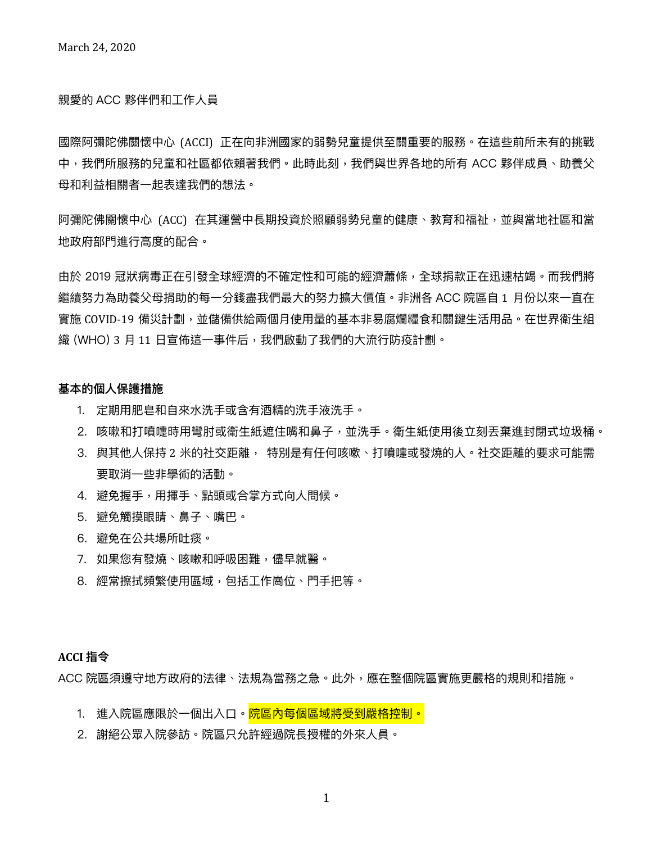### 親愛的 ACC 夥伴們和工作人員

國際阿彌陀佛關懷中心〔ACCI〕正在向非洲國家的弱勢兒童提供至關重要的服務。在這些前所未有的挑戰 中,我們所服務的兒童和社區都依賴著我們。此時此刻,我們與世界各地的所有 ACC 夥伴成員、助養父 ⺟和利益相關者⼀起表達我們的想法。

阿彌陀佛關懷中心 (ACC) 在其運營中長期投資於照顧弱勢兒童的健康、教育和福祉,並與當地社區和當 地政府部門進行高度的配合。

由於 2019 冠狀病毒正在引發全球經濟的不確定性和可能的經濟蕭條,全球捐款正在迅速枯竭。而我們將 繼續努力為助養父母捐助的每一分錢盡我們最大的努力擴大價值。非洲各 ACC 院區自 1 月份以來一直在 實施 COVID-19 備災計劃,並儲備供給兩個月使用量的基本非易腐爛糧食和關鍵生活用品。在世界衛生組 織 (WHO) 3 月 11 日宣佈這一事件后,我們啟動了我們的大流行防疫計劃。

### **基本的個⼈保護措施**

- 1. 定期用肥皂和自來水洗手或含有酒精的洗手液洗手。
- 2. 咳嗽和打噴嚏時用彎肘或衛生紙遮住嘴和鼻子,並洗手。衛生紙使用後立刻丟棄進封閉式垃圾桶。
- 3. 與其他人保持 2 米的社交距離, 特別是有任何咳嗽、打噴嚏或發燒的人。社交距離的要求可能需 要取消⼀些非學術的活動。
- 4. 避免握手,用揮手、點頭或合掌方式向人問候。
- 5. 避免觸摸眼睛、鼻子、嘴巴。
- 6. 避免在公共場所吐痰。
- 7. 如果您有發燒、咳嗽和呼吸困難,儘早就醫。
- 8. 經常擦拭頻繁使用區域,包括工作崗位、門手把等。

### **ACCI 指令**

ACC 院區須遵守地方政府的法律、法規為當務之急。此外,應在整個院區實施更嚴格的規則和措施。

- 1. 進入院區應限於一個出入口。<mark>院區內每個區域將受到嚴格控制。</mark>
- 2. 謝絕公眾入院參訪。院區只允許經過院長授權的外來人員。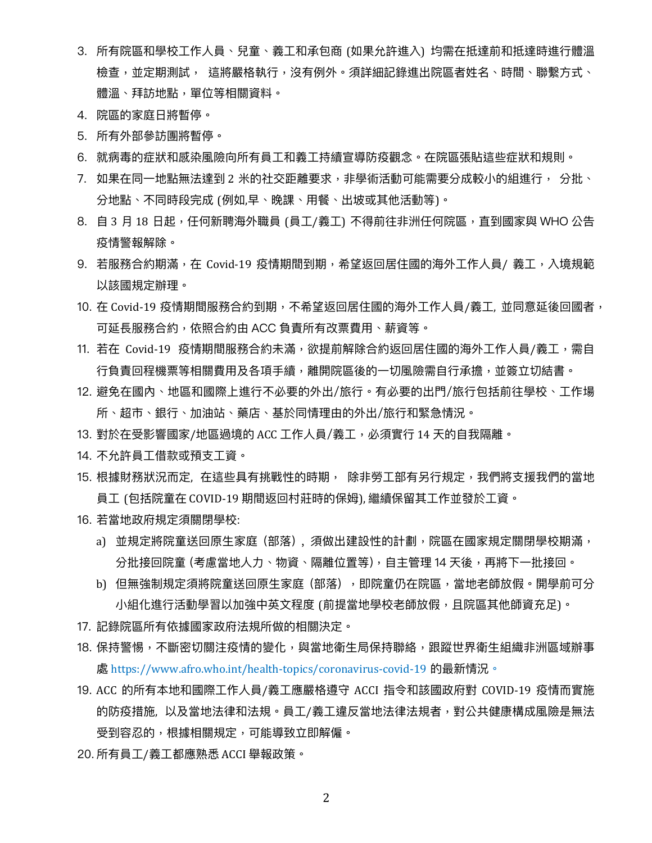- 3.所有院區和學校工作人員、兒童、義工和承包商 (如果允許進入) 均需在抵達前和抵達時進行體溫 檢查,並定期測試, 這將嚴格執行,沒有例外。須詳細記錄進出院區者姓名、時間、聯繫方式、 體溫、拜訪地點,單位等相關資料。
- 4. 院區的家庭日將暫停。
- 5. 所有外部參訪團將暫停。
- 6. 就病毒的症狀和感染風險向所有員工和義工持續宣導防疫觀念。在院區張貼這些症狀和規則。
- 7. 如果在同一地點無法達到 2 米的社交距離要求,非學術活動可能需要分成較小的組進行, 分批、 分地點、不同時段完成 (例如,早、晚課、用餐、出坡或其他活動等)。
- 8. 自 3 月 18 日起,任何新聘海外職員 (員工/義工) 不得前往非洲任何院區,直到國家與 WHO 公告 疫情警報解除。
- 9. 若服務合約期滿,在 Covid-19 疫情期間到期,希望返回居住國的海外工作人員/ 義工,入境規範 以該國規定辦理。
- 10. 在 Covid-19 疫情期間服務合約到期,不希望返回居住國的海外工作人員/義工, 並同意延後回國者, 可延長服務合約,依照合約由 ACC 負責所有改票費⽤、薪資等。
- 11. 若在 Covid-19 疫情期間服務合約未滿,欲提前解除合約返回居住國的海外工作人員/義工,需自 行負責回程機票等相關費用及各項手續,離開院區後的一切風險需自行承擔,並簽立切結書。
- 12. 避免在國內、地區和國際上進行不必要的外出/旅行。有必要的出門/旅行包括前往學校、工作場 所、超市、銀行、加油站、藥店、基於同情理由的外出/旅行和緊急情況。
- 13. 對於在受影響國家/地區過境的 ACC 工作人員/義工,必須實行 14 天的自我隔離。
- 14. 不允許員工借款或預支工資。
- 15. 根據財務狀況而定, 在這些具有挑戰性的時期, 除非勞工部有另行規定,我們將支援我們的當地 員工 (包括院童在 COVID-19 期間返回村莊時的保姆), 繼續保留其工作並發於工資。
- 16. 若當地政府規定須關閉學校:
	- a) 並規定將院童送回原生家庭 (部落), 須做出建設性的計劃,院區在國家規定關閉學校期滿, 分批接回院童 (考慮當地人力、物資、隔離位置等),自主管理 14 天後,再將下一批接回。
	- b) 但無強制規定須將院童送回原⽣家庭 (部落) ,即院童仍在院區,當地老師放假。開學前可分 小組化進行活動學習以加強中英文程度 (前提當地學校老師放假,且院區其他師資充足)。
- 17. 記錄院區所有依據國家政府法規所做的相關決定。
- 18. 保持警惕,不斷密切關注疫情的變化,與當地衛生局保持聯絡,跟蹤世界衛生組織非洲區域辦事 處 https://www.afro.who.int/health-topics/coronavirus-covid-19 的最新情況。
- 19. ACC 的所有本地和國際工作人員/義工應嚴格遵守 ACCI 指令和該國政府對 COVID-19 疫情而實施 的防疫措施, 以及當地法律和法規。員工/義工違反當地法律法規者,對公共健康構成風險是無法 受到容忍的,根據相關規定,可能導致立即解僱。
- 20. 所有員工/義工都應熟悉 ACCI 舉報政策。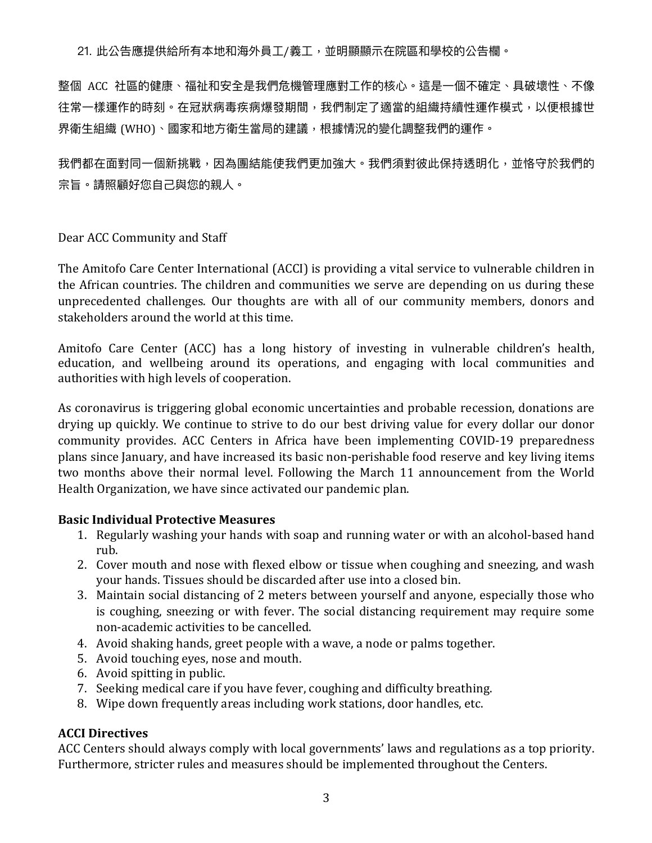21. 此公告應提供給所有本地和海外員工/義工,並明顯顯示在院區和學校的公告欄。

整個 ACC 社區的健康、福祉和安全是我們危機管理應對⼯作的核⼼。這是⼀個不確定、具破壞性、不像 往常一樣運作的時刻。在冠狀病毒疾病爆發期間,我們制定了適當的組織持續性運作模式,以便根據世 界衛生組織 (WHO)、國家和地方衛生當局的建議,根據情況的變化調整我們的運作。

我們都在面對同一個新挑戰,因為團結能使我們更加強大。我們須對彼此保持透明化,並恪守於我們的 宗旨。請照顧好您自己與您的親人。

Dear ACC Community and Staff

The Amitofo Care Center International (ACCI) is providing a vital service to vulnerable children in the African countries. The children and communities we serve are depending on us during these unprecedented challenges. Our thoughts are with all of our community members, donors and stakeholders around the world at this time.

Amitofo Care Center (ACC) has a long history of investing in vulnerable children's health, education, and wellbeing around its operations, and engaging with local communities and authorities with high levels of cooperation.

As coronavirus is triggering global economic uncertainties and probable recession, donations are drying up quickly. We continue to strive to do our best driving value for every dollar our donor community provides. ACC Centers in Africa have been implementing COVID-19 preparedness plans since January, and have increased its basic non-perishable food reserve and key living items two months above their normal level. Following the March 11 announcement from the World Health Organization, we have since activated our pandemic plan.

# **Basic Individual Protective Measures**

- 1. Regularly washing your hands with soap and running water or with an alcohol-based hand rub.
- 2. Cover mouth and nose with flexed elbow or tissue when coughing and sneezing, and wash your hands. Tissues should be discarded after use into a closed bin.
- 3. Maintain social distancing of 2 meters between yourself and anyone, especially those who is coughing, sneezing or with fever. The social distancing requirement may require some non-academic activities to be cancelled.
- 4. Avoid shaking hands, greet people with a wave, a node or palms together.
- 5. Avoid touching eyes, nose and mouth.
- 6. Avoid spitting in public.
- 7. Seeking medical care if you have fever, coughing and difficulty breathing.
- 8. Wipe down frequently areas including work stations, door handles, etc.

# **ACCI Directives**

ACC Centers should always comply with local governments' laws and regulations as a top priority. Furthermore, stricter rules and measures should be implemented throughout the Centers.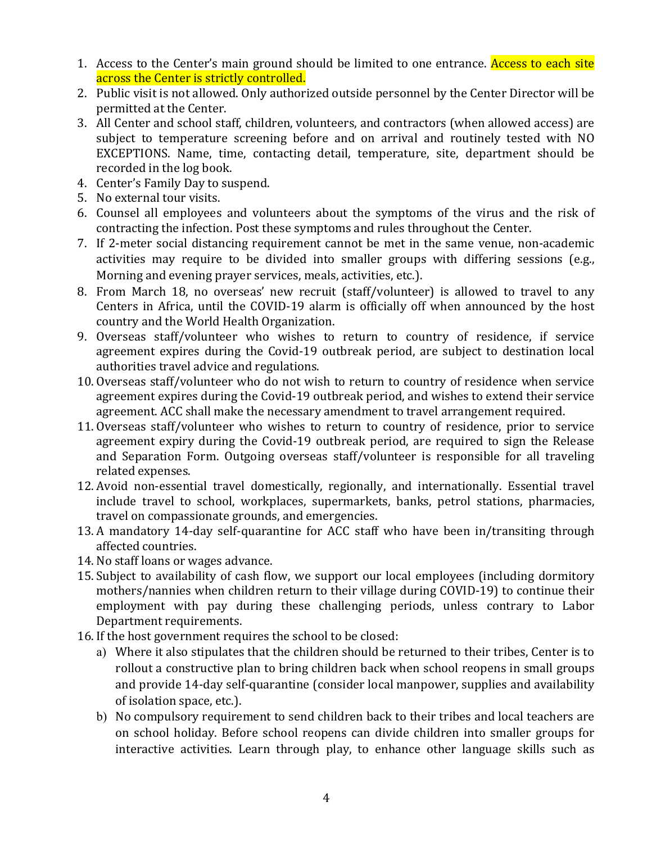- 1. Access to the Center's main ground should be limited to one entrance. Access to each site across the Center is strictly controlled.
- 2. Public visit is not allowed. Only authorized outside personnel by the Center Director will be permitted at the Center.
- 3. All Center and school staff, children, volunteers, and contractors (when allowed access) are subject to temperature screening before and on arrival and routinely tested with NO EXCEPTIONS. Name, time, contacting detail, temperature, site, department should be recorded in the log book.
- 4. Center's Family Day to suspend.
- 5. No external tour visits.
- 6. Counsel all employees and volunteers about the symptoms of the virus and the risk of contracting the infection. Post these symptoms and rules throughout the Center.
- 7. If 2-meter social distancing requirement cannot be met in the same venue, non-academic activities may require to be divided into smaller groups with differing sessions (e.g., Morning and evening prayer services, meals, activities, etc.).
- 8. From March 18, no overseas' new recruit (staff/volunteer) is allowed to travel to any Centers in Africa, until the COVID-19 alarm is officially off when announced by the host country and the World Health Organization.
- 9. Overseas staff/volunteer who wishes to return to country of residence, if service agreement expires during the Covid-19 outbreak period, are subject to destination local authorities travel advice and regulations.
- 10. Overseas staff/volunteer who do not wish to return to country of residence when service agreement expires during the Covid-19 outbreak period, and wishes to extend their service agreement. ACC shall make the necessary amendment to travel arrangement required.
- 11. Overseas staff/volunteer who wishes to return to country of residence, prior to service agreement expiry during the Covid-19 outbreak period, are required to sign the Release and Separation Form. Outgoing overseas staff/volunteer is responsible for all traveling related expenses.
- 12. Avoid non-essential travel domestically, regionally, and internationally. Essential travel include travel to school, workplaces, supermarkets, banks, petrol stations, pharmacies, travel on compassionate grounds, and emergencies.
- 13. A mandatory 14-day self-quarantine for ACC staff who have been in/transiting through affected countries.
- 14. No staff loans or wages advance.
- 15. Subject to availability of cash flow, we support our local employees (including dormitory mothers/nannies when children return to their village during COVID-19) to continue their employment with pay during these challenging periods, unless contrary to Labor Department requirements.
- 16. If the host government requires the school to be closed:
	- a) Where it also stipulates that the children should be returned to their tribes, Center is to rollout a constructive plan to bring children back when school reopens in small groups and provide 14-day self-quarantine (consider local manpower, supplies and availability of isolation space, etc.).
	- b) No compulsory requirement to send children back to their tribes and local teachers are on school holiday. Before school reopens can divide children into smaller groups for interactive activities. Learn through play, to enhance other language skills such as